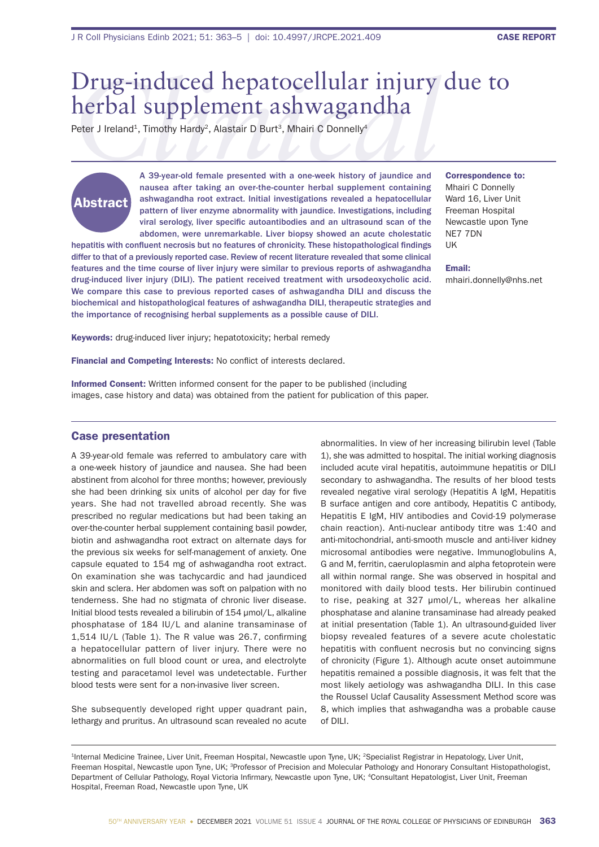## *Clinical* Drug-induced hepatocellular injury due to herbal supplement ashwagandha

Peter J Ireland<sup>1</sup>, Timothy Hardy<sup>2</sup>, Alastair D Burt<sup>3</sup>, Mhairi C Donnelly<sup>4</sup>

# Abstract

A 39-year-old female presented with a one-week history of jaundice and nausea after taking an over-the-counter herbal supplement containing ashwagandha root extract. Initial investigations revealed a hepatocellular pattern of liver enzyme abnormality with jaundice. Investigations, including viral serology, liver specific autoantibodies and an ultrasound scan of the abdomen, were unremarkable. Liver biopsy showed an acute cholestatic

hepatitis with confluent necrosis but no features of chronicity. These histopathological findings differ to that of a previously reported case. Review of recent literature revealed that some clinical features and the time course of liver injury were similar to previous reports of ashwagandha drug-induced liver injury (DILI). The patient received treatment with ursodeoxycholic acid. We compare this case to previous reported cases of ashwagandha DILI and discuss the biochemical and histopathological features of ashwagandha DILI, therapeutic strategies and the importance of recognising herbal supplements as a possible cause of DILI.

Correspondence to: Mhairi C Donnelly Ward 16, Liver Unit Freeman Hospital Newcastle upon Tyne NE7 7DN UK

Email: mhairi.donnelly@nhs.net

Keywords: drug-induced liver injury; hepatotoxicity; herbal remedy

Financial and Competing Interests: No conflict of interests declared.

Informed Consent: Written informed consent for the paper to be published (including images, case history and data) was obtained from the patient for publication of this paper.

#### Case presentation

A 39-year-old female was referred to ambulatory care with a one-week history of jaundice and nausea. She had been abstinent from alcohol for three months; however, previously she had been drinking six units of alcohol per day for five years. She had not travelled abroad recently. She was prescribed no regular medications but had been taking an over-the-counter herbal supplement containing basil powder, biotin and ashwagandha root extract on alternate days for the previous six weeks for self-management of anxiety. One capsule equated to 154 mg of ashwagandha root extract. On examination she was tachycardic and had jaundiced skin and sclera. Her abdomen was soft on palpation with no tenderness. She had no stigmata of chronic liver disease. Initial blood tests revealed a bilirubin of 154 umol/L, alkaline phosphatase of 184 IU/L and alanine transaminase of 1,514 IU/L (Table 1). The R value was  $26.7$ , confirming a hepatocellular pattern of liver injury. There were no abnormalities on full blood count or urea, and electrolyte testing and paracetamol level was undetectable. Further blood tests were sent for a non-invasive liver screen.

She subsequently developed right upper quadrant pain, lethargy and pruritus. An ultrasound scan revealed no acute abnormalities. In view of her increasing bilirubin level (Table 1), she was admitted to hospital. The initial working diagnosis included acute viral hepatitis, autoimmune hepatitis or DILI secondary to ashwagandha. The results of her blood tests revealed negative viral serology (Hepatitis A IgM, Hepatitis B surface antigen and core antibody, Hepatitis C antibody, Hepatitis E IgM, HIV antibodies and Covid-19 polymerase chain reaction). Anti-nuclear antibody titre was 1:40 and anti-mitochondrial, anti-smooth muscle and anti-liver kidney microsomal antibodies were negative. Immunoglobulins A, G and M, ferritin, caeruloplasmin and alpha fetoprotein were all within normal range. She was observed in hospital and monitored with daily blood tests. Her bilirubin continued to rise, peaking at 327 µmol/L, whereas her alkaline phosphatase and alanine transaminase had already peaked at initial presentation (Table 1). An ultrasound-guided liver biopsy revealed features of a severe acute cholestatic hepatitis with confluent necrosis but no convincing signs of chronicity (Figure 1). Although acute onset autoimmune hepatitis remained a possible diagnosis, it was felt that the most likely aetiology was ashwagandha DILI. In this case the Roussel Uclaf Causality Assessment Method score was 8, which implies that ashwagandha was a probable cause of DILI.

1Internal Medicine Trainee, Liver Unit, Freeman Hospital, Newcastle upon Tyne, UK; 2Specialist Registrar in Hepatology, Liver Unit, Freeman Hospital, Newcastle upon Tyne, UK; <sup>3</sup>Professor of Precision and Molecular Pathology and Honorary Consultant Histopathologist, Department of Cellular Pathology, Royal Victoria Infirmary, Newcastle upon Tyne, UK; <sup>4</sup>Consultant Hepatologist, Liver Unit, Freeman Hospital, Freeman Road, Newcastle upon Tyne, UK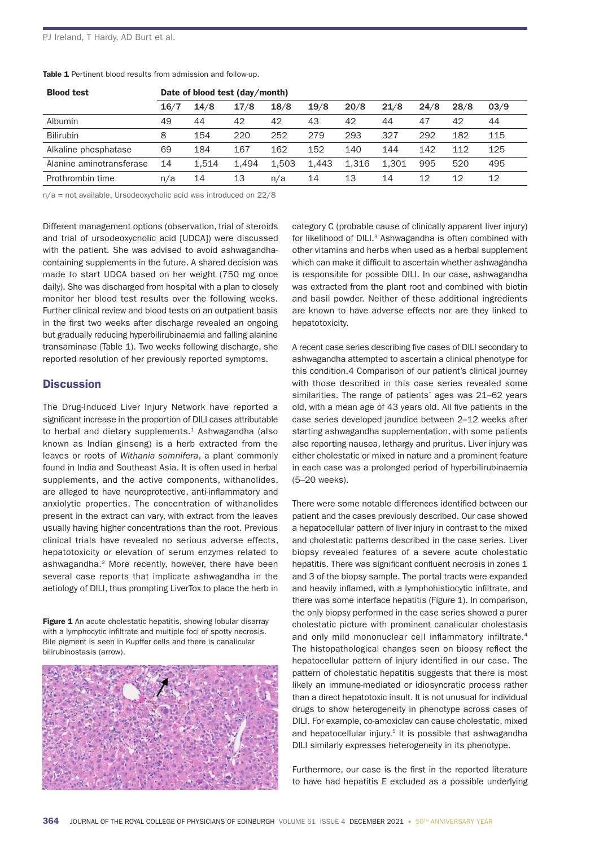| Table 1 Pertinent blood results from admission and follow-up. |
|---------------------------------------------------------------|
|---------------------------------------------------------------|

| <b>Blood test</b>        | Date of blood test (day/month) |       |       |       |       |       |       |      |      |      |
|--------------------------|--------------------------------|-------|-------|-------|-------|-------|-------|------|------|------|
|                          | 16/7                           | 14/8  | 17/8  | 18/8  | 19/8  | 20/8  | 21/8  | 24/8 | 28/8 | 03/9 |
| Albumin                  | 49                             | 44    | 42    | 42    | 43    | 42    | 44    | 47   | 42   | 44   |
| <b>Bilirubin</b>         | 8                              | 154   | 220   | 252   | 279   | 293   | 327   | 292  | 182  | 115  |
| Alkaline phosphatase     | 69                             | 184   | 167   | 162   | 152   | 140   | 144   | 142  | 112  | 125  |
| Alanine aminotransferase | 14                             | 1.514 | 1.494 | 1.503 | 1.443 | 1.316 | 1.301 | 995  | 520  | 495  |
| Prothrombin time         | n/a                            | 14    | 13    | n/a   | 14    | 13    | 14    | 12   | 12   | 12   |

n/a = not available. Ursodeoxycholic acid was introduced on 22/8

Different management options (observation, trial of steroids and trial of ursodeoxycholic acid [UDCA]) were discussed with the patient. She was advised to avoid ashwagandhacontaining supplements in the future. A shared decision was made to start UDCA based on her weight (750 mg once daily). She was discharged from hospital with a plan to closely monitor her blood test results over the following weeks. Further clinical review and blood tests on an outpatient basis in the first two weeks after discharge revealed an ongoing but gradually reducing hyperbilirubinaemia and falling alanine transaminase (Table 1). Two weeks following discharge, she reported resolution of her previously reported symptoms.

#### **Discussion**

The Drug-Induced Liver Injury Network have reported a significant increase in the proportion of DILI cases attributable to herbal and dietary supplements.<sup>1</sup> Ashwagandha (also known as Indian ginseng) is a herb extracted from the leaves or roots of *Withania somnifera*, a plant commonly found in India and Southeast Asia. It is often used in herbal supplements, and the active components, withanolides, are alleged to have neuroprotective, anti-inflammatory and anxiolytic properties. The concentration of withanolides present in the extract can vary, with extract from the leaves usually having higher concentrations than the root. Previous clinical trials have revealed no serious adverse effects, hepatotoxicity or elevation of serum enzymes related to ashwagandha.2 More recently, however, there have been several case reports that implicate ashwagandha in the aetiology of DILI, thus prompting LiverTox to place the herb in

**Figure 1** An acute cholestatic hepatitis, showing lobular disarray with a lymphocytic infiltrate and multiple foci of spotty necrosis. Bile pigment is seen in Kupffer cells and there is canalicular bilirubinostasis (arrow).



category C (probable cause of clinically apparent liver injury) for likelihood of DILI.<sup>3</sup> Ashwagandha is often combined with other vitamins and herbs when used as a herbal supplement which can make it difficult to ascertain whether ashwagandha is responsible for possible DILI. In our case, ashwagandha was extracted from the plant root and combined with biotin and basil powder. Neither of these additional ingredients are known to have adverse effects nor are they linked to hepatotoxicity.

A recent case series describing five cases of DILI secondary to ashwagandha attempted to ascertain a clinical phenotype for this condition.4 Comparison of our patient's clinical journey with those described in this case series revealed some similarities. The range of patients' ages was 21–62 years old, with a mean age of 43 years old. All five patients in the case series developed jaundice between 2–12 weeks after starting ashwagandha supplementation, with some patients also reporting nausea, lethargy and pruritus. Liver injury was either cholestatic or mixed in nature and a prominent feature in each case was a prolonged period of hyperbilirubinaemia (5–20 weeks).

There were some notable differences identified between our patient and the cases previously described. Our case showed a hepatocellular pattern of liver injury in contrast to the mixed and cholestatic patterns described in the case series. Liver biopsy revealed features of a severe acute cholestatic hepatitis. There was significant confluent necrosis in zones 1 and 3 of the biopsy sample. The portal tracts were expanded and heavily inflamed, with a lymphohistiocytic infiltrate, and there was some interface hepatitis (Figure 1). In comparison, the only biopsy performed in the case series showed a purer cholestatic picture with prominent canalicular cholestasis and only mild mononuclear cell inflammatory infiltrate.<sup>4</sup> The histopathological changes seen on biopsy reflect the hepatocellular pattern of injury identified in our case. The pattern of cholestatic hepatitis suggests that there is most likely an immune-mediated or idiosyncratic process rather than a direct hepatotoxic insult. It is not unusual for individual drugs to show heterogeneity in phenotype across cases of DILI. For example, co-amoxiclav can cause cholestatic, mixed and hepatocellular injury.<sup>5</sup> It is possible that ashwagandha DILI similarly expresses heterogeneity in its phenotype.

Furthermore, our case is the first in the reported literature to have had hepatitis E excluded as a possible underlying